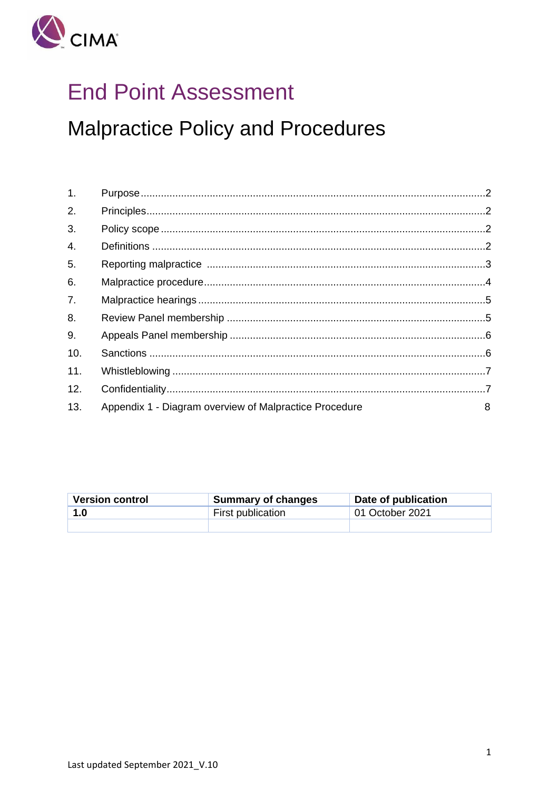

# **End Point Assessment**

**Malpractice Policy and Procedures** 

| 1.               |                                                        |   |
|------------------|--------------------------------------------------------|---|
| 2.               |                                                        |   |
| 3.               |                                                        |   |
| $\overline{4}$ . |                                                        |   |
| 5.               |                                                        |   |
| 6.               |                                                        |   |
| 7 <sub>1</sub>   |                                                        |   |
| 8.               |                                                        |   |
| 9.               |                                                        |   |
| 10.              |                                                        |   |
| 11.              |                                                        |   |
| 12.              |                                                        |   |
| 13.              | Appendix 1 - Diagram overview of Malpractice Procedure | 8 |

| <b>Version control</b> | <b>Summary of changes</b> | Date of publication |
|------------------------|---------------------------|---------------------|
| 1.0                    | First publication         | 01 October 2021     |
|                        |                           |                     |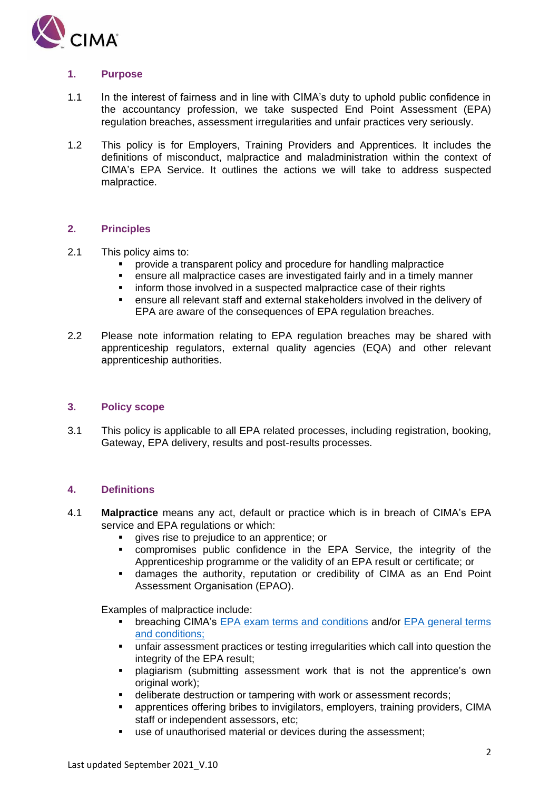

# <span id="page-1-0"></span>**1. Purpose**

- 1.1 In the interest of fairness and in line with CIMA's duty to uphold public confidence in the accountancy profession, we take suspected End Point Assessment (EPA) regulation breaches, assessment irregularities and unfair practices very seriously.
- 1.2 This policy is for Employers, Training Providers and Apprentices. It includes the definitions of misconduct, malpractice and maladministration within the context of CIMA's EPA Service. It outlines the actions we will take to address suspected malpractice.

# <span id="page-1-1"></span>**2. Principles**

## 2.1 This policy aims to:

- provide a transparent policy and procedure for handling malpractice
- ensure all malpractice cases are investigated fairly and in a timely manner
- inform those involved in a suspected malpractice case of their rights
- ensure all relevant staff and external stakeholders involved in the delivery of EPA are aware of the consequences of EPA regulation breaches.
- 2.2 Please note information relating to EPA regulation breaches may be shared with apprenticeship regulators, external quality agencies (EQA) and other relevant apprenticeship authorities.

## <span id="page-1-2"></span>**3. Policy scope**

3.1 This policy is applicable to all EPA related processes, including registration, booking, Gateway, EPA delivery, results and post-results processes.

# <span id="page-1-3"></span>**4. Definitions**

- 4.1 **Malpractice** means any act, default or practice which is in breach of CIMA's EPA service and EPA regulations or which:
	- gives rise to prejudice to an apprentice; or
	- compromises public confidence in the EPA Service, the integrity of the Apprenticeship programme or the validity of an EPA result or certificate; or
	- damages the authority, reputation or credibility of CIMA as an End Point Assessment Organisation (EPAO).

Examples of malpractice include:

- breaching CIMA's [EPA exam terms and conditions](https://www.cimaglobal.com/Documents/Apprenticeships/CIMA_Exam_Scheduling_Terms_and_Conditions_July%202021_5.2%20.pdf) and/or EPA general terms [and conditions;](https://www.cimaglobal.com/Documents/Exam/EPA%20general%20terms%20and%20conditions_1.1_Jan%202021.pdf)
- unfair assessment practices or testing irregularities which call into question the integrity of the EPA result;
- **·** plagiarism (submitting assessment work that is not the apprentice's own original work);
- deliberate destruction or tampering with work or assessment records;
- apprentices offering bribes to invigilators, employers, training providers, CIMA staff or independent assessors, etc;
- use of unauthorised material or devices during the assessment;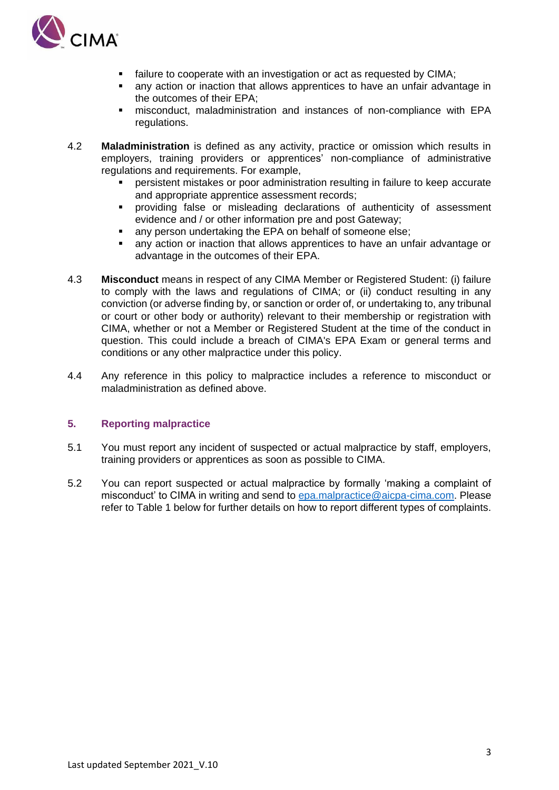

- failure to cooperate with an investigation or act as requested by CIMA;
- any action or inaction that allows apprentices to have an unfair advantage in the outcomes of their EPA;
- misconduct, maladministration and instances of non-compliance with EPA regulations.
- 4.2 **Maladministration** is defined as any activity, practice or omission which results in employers, training providers or apprentices' non-compliance of administrative regulations and requirements. For example,
	- persistent mistakes or poor administration resulting in failure to keep accurate and appropriate apprentice assessment records;
	- providing false or misleading declarations of authenticity of assessment evidence and / or other information pre and post Gateway;
	- any person undertaking the EPA on behalf of someone else;
	- any action or inaction that allows apprentices to have an unfair advantage or advantage in the outcomes of their EPA.
- 4.3 **Misconduct** means in respect of any CIMA Member or Registered Student: (i) failure to comply with the laws and regulations of CIMA; or (ii) conduct resulting in any conviction (or adverse finding by, or sanction or order of, or undertaking to, any tribunal or court or other body or authority) relevant to their membership or registration with CIMA, whether or not a Member or Registered Student at the time of the conduct in question. This could include a breach of CIMA's EPA Exam or general terms and conditions or any other malpractice under this policy.
- 4.4 Any reference in this policy to malpractice includes a reference to misconduct or maladministration as defined above.

# <span id="page-2-0"></span>**5. Reporting malpractice**

- 5.1 You must report any incident of suspected or actual malpractice by staff, employers, training providers or apprentices as soon as possible to CIMA.
- 5.2 You can report suspected or actual malpractice by formally 'making a complaint of misconduct' to CIMA in writing and send to [epa.malpractice@aicpa-cima.com.](mailto:epa.malpractice@aicpa-cima.com) Please refer to Table 1 below for further details on how to report different types of complaints.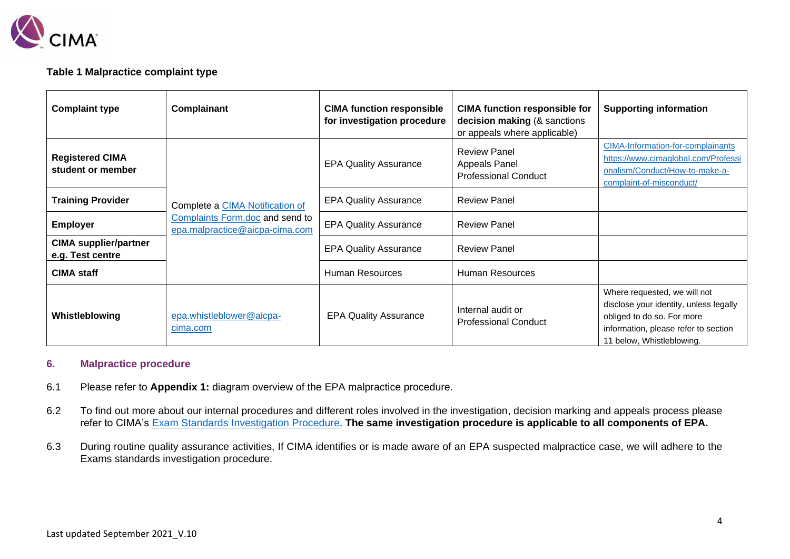

# **Table 1 Malpractice complaint type**

| <b>Complaint type</b>                            | Complainant                                                       | <b>CIMA function responsible</b><br>for investigation procedure | <b>CIMA function responsible for</b><br>decision making (& sanctions<br>or appeals where applicable) | <b>Supporting information</b>                                                                                                                                             |
|--------------------------------------------------|-------------------------------------------------------------------|-----------------------------------------------------------------|------------------------------------------------------------------------------------------------------|---------------------------------------------------------------------------------------------------------------------------------------------------------------------------|
| <b>Registered CIMA</b><br>student or member      |                                                                   | <b>EPA Quality Assurance</b>                                    | <b>Review Panel</b><br>Appeals Panel<br><b>Professional Conduct</b>                                  | <b>CIMA-Information-for-complainants</b><br>https://www.cimaglobal.com/Professi<br>onalism/Conduct/How-to-make-a-<br>complaint-of-misconduct/                             |
| <b>Training Provider</b>                         | Complete a CIMA Notification of                                   | <b>EPA Quality Assurance</b>                                    | <b>Review Panel</b>                                                                                  |                                                                                                                                                                           |
| <b>Employer</b>                                  | Complaints Form.doc and send to<br>epa.malpractice@aicpa-cima.com | <b>EPA Quality Assurance</b>                                    | <b>Review Panel</b>                                                                                  |                                                                                                                                                                           |
| <b>CIMA supplier/partner</b><br>e.g. Test centre |                                                                   |                                                                 | <b>Review Panel</b>                                                                                  |                                                                                                                                                                           |
| <b>CIMA staff</b>                                |                                                                   | Human Resources                                                 | <b>Human Resources</b>                                                                               |                                                                                                                                                                           |
| Whistleblowing                                   | epa.whistleblower@aicpa-<br>cima.com                              | <b>EPA Quality Assurance</b>                                    | Internal audit or<br><b>Professional Conduct</b>                                                     | Where requested, we will not<br>disclose your identity, unless legally<br>obliged to do so. For more<br>information, please refer to section<br>11 below, Whistleblowing. |

## **6. Malpractice procedure**

- 6.1 Please refer to **Appendix 1:** diagram overview of the EPA malpractice procedure.
- 6.2 To find out more about our internal procedures and different roles involved in the investigation, decision marking and appeals process please refer to CIMA's [Exam Standards Investigation Procedure.](https://www.cimaglobal.com/Documents/Exam/Exam%20Standards%20Investigation%20Procedure_Final%20V1.0.pdf) **The same investigation procedure is applicable to all components of EPA.**
- <span id="page-3-0"></span>6.3 During routine quality assurance activities, If CIMA identifies or is made aware of an EPA suspected malpractice case, we will adhere to the Exams standards investigation procedure.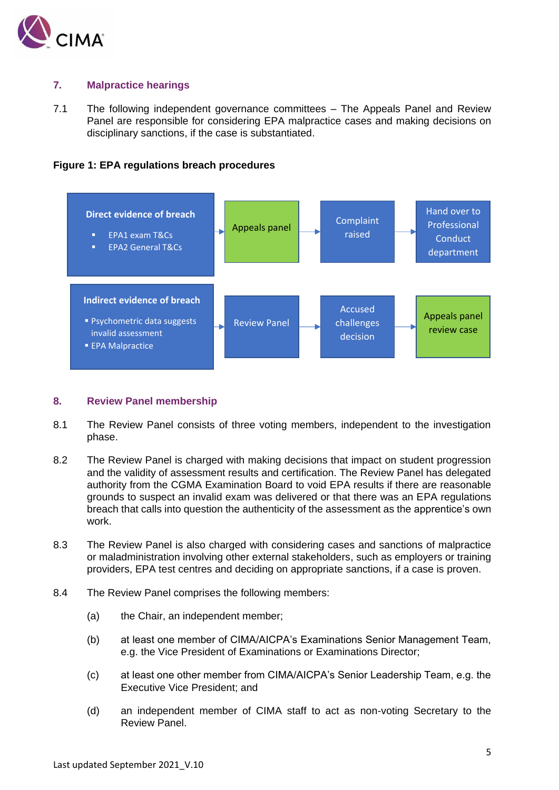

# <span id="page-4-0"></span>**7. Malpractice hearings**

7.1 The following independent governance committees – The Appeals Panel and Review Panel are responsible for considering EPA malpractice cases and making decisions on disciplinary sanctions, if the case is substantiated.





## <span id="page-4-1"></span>**8. Review Panel membership**

- 8.1 The Review Panel consists of three voting members, independent to the investigation phase.
- 8.2 The Review Panel is charged with making decisions that impact on student progression and the validity of assessment results and certification. The Review Panel has delegated authority from the CGMA Examination Board to void EPA results if there are reasonable grounds to suspect an invalid exam was delivered or that there was an EPA regulations breach that calls into question the authenticity of the assessment as the apprentice's own work.
- 8.3 The Review Panel is also charged with considering cases and sanctions of malpractice or maladministration involving other external stakeholders, such as employers or training providers, EPA test centres and deciding on appropriate sanctions, if a case is proven.
- 8.4 The Review Panel comprises the following members:
	- (a) the Chair, an independent member;
	- (b) at least one member of CIMA/AICPA's Examinations Senior Management Team, e.g. the Vice President of Examinations or Examinations Director;
	- (c) at least one other member from CIMA/AICPA's Senior Leadership Team, e.g. the Executive Vice President; and
	- (d) an independent member of CIMA staff to act as non-voting Secretary to the Review Panel.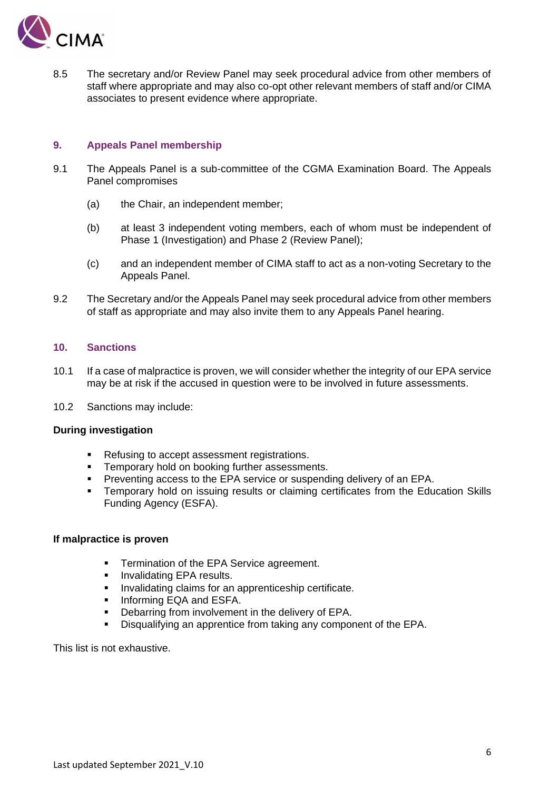

8.5 The secretary and/or Review Panel may seek procedural advice from other members of staff where appropriate and may also co-opt other relevant members of staff and/or CIMA associates to present evidence where appropriate.

## <span id="page-5-0"></span>**9. Appeals Panel membership**

- 9.1 The Appeals Panel is a sub-committee of the CGMA Examination Board. The Appeals Panel compromises
	- (a) the Chair, an independent member;
	- (b) at least 3 independent voting members, each of whom must be independent of Phase 1 (Investigation) and Phase 2 (Review Panel);
	- (c) and an independent member of CIMA staff to act as a non-voting Secretary to the Appeals Panel.
- 9.2 The Secretary and/or the Appeals Panel may seek procedural advice from other members of staff as appropriate and may also invite them to any Appeals Panel hearing.

## <span id="page-5-1"></span>**10. Sanctions**

- 10.1 If a case of malpractice is proven, we will consider whether the integrity of our EPA service may be at risk if the accused in question were to be involved in future assessments.
- 10.2 Sanctions may include:

## **During investigation**

- Refusing to accept assessment registrations.
- Temporary hold on booking further assessments.
- Preventing access to the EPA service or suspending delivery of an EPA.
- Temporary hold on issuing results or claiming certificates from the Education Skills Funding Agency (ESFA).

#### **If malpractice is proven**

- Termination of the EPA Service agreement.
- **·** Invalidating EPA results.
- **·** Invalidating claims for an apprenticeship certificate.
- **■** Informing EQA and ESFA.
- Debarring from involvement in the delivery of EPA.
- Disqualifying an apprentice from taking any component of the EPA.

This list is not exhaustive.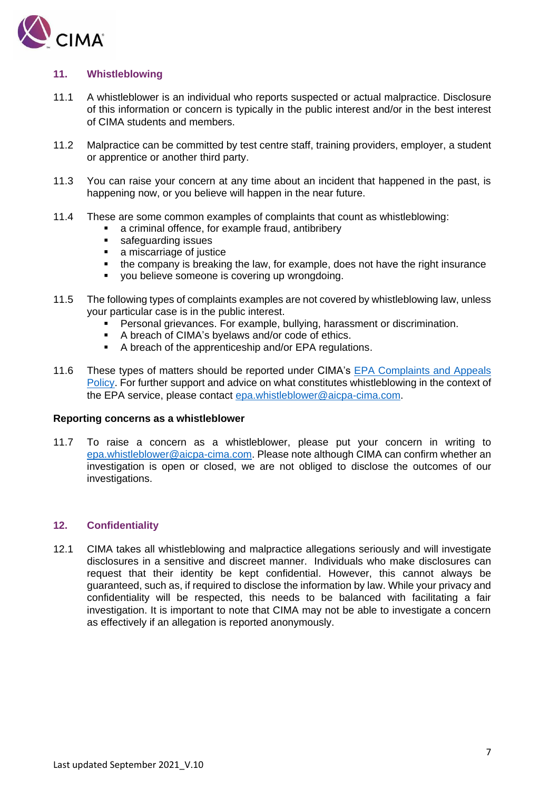

# <span id="page-6-0"></span>**11. Whistleblowing**

- 11.1 A whistleblower is an individual who reports suspected or actual malpractice. Disclosure of this information or concern is typically in the public interest and/or in the best interest of CIMA students and members.
- 11.2 Malpractice can be committed by test centre staff, training providers, employer, a student or apprentice or another third party.
- 11.3 You can raise your concern at any time about an incident that happened in the past, is happening now, or you believe will happen in the near future.
- 11.4 These are some common examples of complaints that count as whistleblowing:
	- a criminal offence, for example fraud, antibribery
	- safeguarding issues
	- a miscarriage of justice
	- the company is breaking the law, for example, does not have the right insurance
	- vou believe someone is covering up wrongdoing.
- 11.5 The following types of complaints examples are not covered by whistleblowing law, unless your particular case is in the public interest.
	- Personal grievances. For example, bullying, harassment or discrimination.
	- A breach of CIMA's byelaws and/or code of ethics.
	- A breach of the apprenticeship and/or EPA regulations.
- 11.6 These types of matters should be reported under CIMA's [EPA Complaints and Appeals](https://www.cimaglobal.com/Documents/Exam/EPA%20Enquiry%20and%20Appeals%20Policy%20and%20Procedures_v1.0%20(2).pdf)  [Policy.](https://www.cimaglobal.com/Documents/Exam/EPA%20Enquiry%20and%20Appeals%20Policy%20and%20Procedures_v1.0%20(2).pdf) For further support and advice on what constitutes whistleblowing in the context of the EPA service, please contact [epa.whistleblower@aicpa-cima.com.](mailto:epa.whistleblower@aicpa-cima.com)

#### **Reporting concerns as a whistleblower**

11.7 To raise a concern as a whistleblower, please put your concern in writing to [epa.whistleblower@aicpa-cima.com.](mailto:epa.whistleblower@aicpa-cima.com) Please note although CIMA can confirm whether an investigation is open or closed, we are not obliged to disclose the outcomes of our investigations.

# <span id="page-6-1"></span>**12. Confidentiality**

12.1 CIMA takes all whistleblowing and malpractice allegations seriously and will investigate disclosures in a sensitive and discreet manner. Individuals who make disclosures can request that their identity be kept confidential. However, this cannot always be guaranteed, such as, if required to disclose the information by law. While your privacy and confidentiality will be respected, this needs to be balanced with facilitating a fair investigation. It is important to note that CIMA may not be able to investigate a concern as effectively if an allegation is reported anonymously.